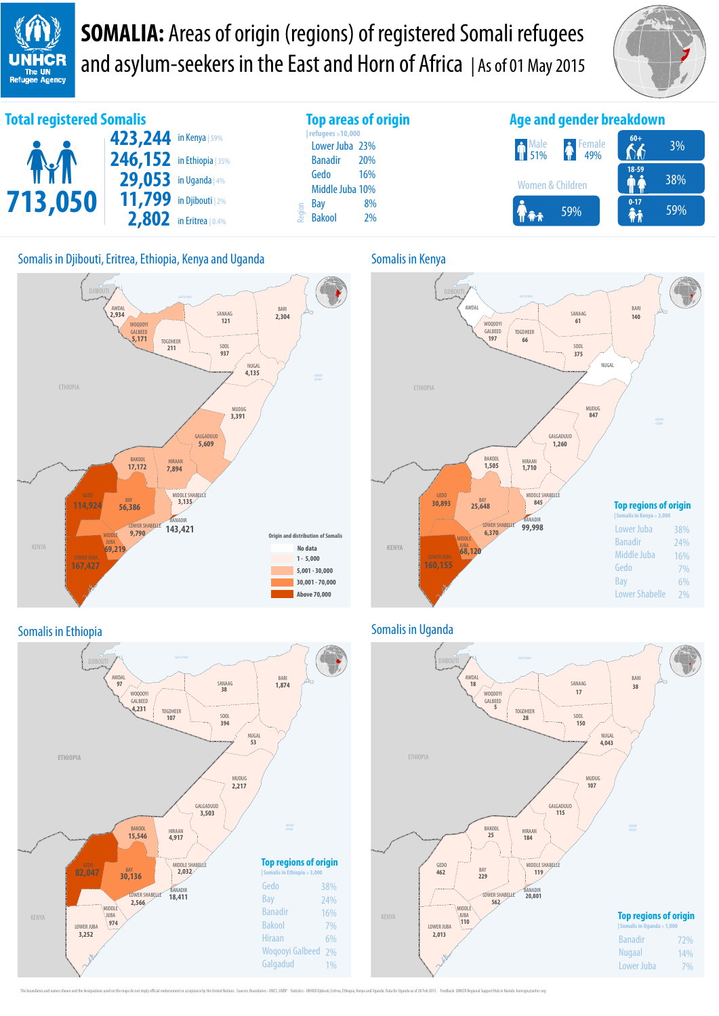**UNHCR** The UN<br>Refugee Agency

**SOMALIA:** Areas of origin (regions) of registered Somali refugees and asylum-seekers in the East and Horn of Africa | As of 01 May 2015











#### Somalis in Ethiopia **Somalis in Uganda**



The boundaries and names shown and the designations used on the maps do not imply official endorsement or acceptance by the United Nations. Sources: Boundaries - UNCS, UNDP Statistics - UNHCR Djibouti, Eritrea, Ethiopia, K